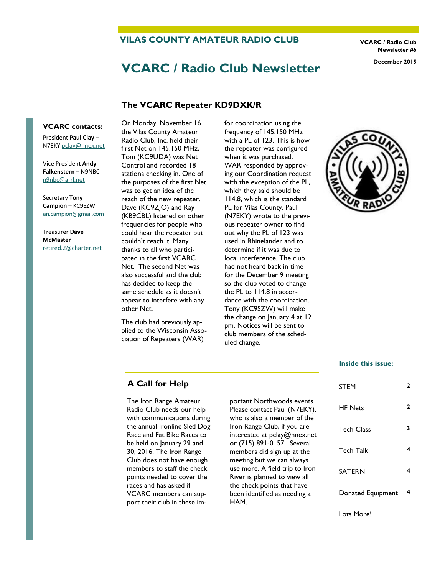**VILAS COUNTY AMATEUR RADIO CLUB** 

**VCARC / Radio Club Newsletter #6** 

# **VCARC / Radio Club Newsletter December 2015**

#### **The VCARC Repeater KD9DXK/R**

#### **VCARC contacts:**

President **Paul Clay** – N7EKY [pclay@nnex.net](mailto:pclay@nnex.net)

Vice President **Andy Falkenstern** – N9NBC [n9nbc@arrl.net](mailto:n9nbc@arrl.net)

Secretary **Tony Campion** – KC9SZW [an.campion@gmail.com](mailto:an.campion@gmail.com)

Treasurer **Dave McMaster**  [retired.2@charter.net](mailto:retired.2@charter.net)

On Monday, November 16 the Vilas County Amateur Radio Club, Inc. held their first Net on 145.150 MHz, Tom (KC9UDA) was Net Control and recorded 18 stations checking in. One of the purposes of the first Net was to get an idea of the reach of the new repeater. Dave (KC9ZJO) and Ray (KB9CBL) listened on other frequencies for people who could hear the repeater but couldn't reach it. Many thanks to all who participated in the first VCARC Net. The second Net was also successful and the club has decided to keep the same schedule as it doesn't appear to interfere with any other Net.

The club had previously applied to the Wisconsin Association of Repeaters (WAR)

for coordination using the frequency of 145.150 MHz with a PL of 123. This is how the repeater was configured when it was purchased. WAR responded by approving our Coordination request with the exception of the PL, which they said should be 114.8, which is the standard PL for Vilas County. Paul (N7EKY) wrote to the previous repeater owner to find out why the PL of 123 was used in Rhinelander and to determine if it was due to local interference. The club had not heard back in time for the December 9 meeting so the club voted to change the PL to 114.8 in accordance with the coordination. Tony (KC9SZW) will make the change on January 4 at 12 pm. Notices will be sent to club members of the scheduled change.



#### **Inside this issue:**

| <b>STEM</b>       | 2 |
|-------------------|---|
| <b>HF</b> Nets    | 2 |
| Tech Class        | 3 |
| Tech Talk         | 4 |
| <b>SATERN</b>     | 4 |
| Donated Equipment | 4 |
|                   |   |

#### **A Call for Help**

The Iron Range Amateur Radio Club needs our help with communications during the annual Ironline Sled Dog Race and Fat Bike Races to be held on January 29 and 30, 2016. The Iron Range Club does not have enough members to staff the check points needed to cover the races and has asked if VCARC members can support their club in these important Northwoods events. Please contact Paul (N7EKY), who is also a member of the Iron Range Club, if you are interested at pclay@nnex.net or (715) 891-0157. Several members did sign up at the meeting but we can always use more. A field trip to Iron River is planned to view all the check points that have been identified as needing a HAM.

Lots More!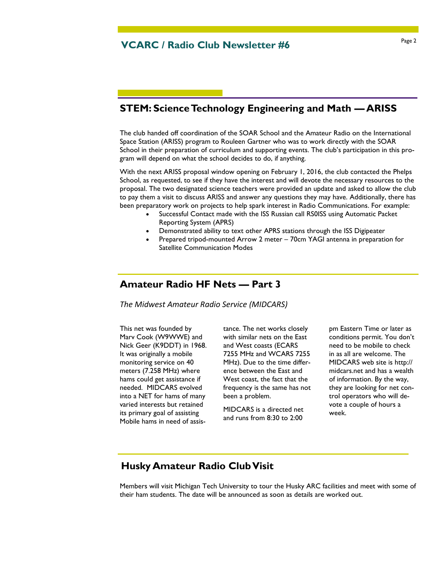### **STEM: Science Technology Engineering and Math — ARISS**

The club handed off coordination of the SOAR School and the Amateur Radio on the International Space Station (ARISS) program to Rouleen Gartner who was to work directly with the SOAR School in their preparation of curriculum and supporting events. The club's participation in this program will depend on what the school decides to do, if anything.

With the next ARISS proposal window opening on February 1, 2016, the club contacted the Phelps School, as requested, to see if they have the interest and will devote the necessary resources to the proposal. The two designated science teachers were provided an update and asked to allow the club to pay them a visit to discuss ARISS and answer any questions they may have. Additionally, there has been preparatory work on projects to help spark interest in Radio Communications. For example:

- Successful Contact made with the ISS Russian call RS0ISS using Automatic Packet Reporting System (APRS)
- Demonstrated ability to text other APRS stations through the ISS Digipeater
- Prepared tripod-mounted Arrow 2 meter 70cm YAGI antenna in preparation for Satellite Communication Modes

#### **Amateur Radio HF Nets — Part 3**

*The Midwest Amateur Radio Service (MIDCARS)* 

This net was founded by Marv Cook (W9WWE) and Nick Geer (K9DDT) in 1968. It was originally a mobile monitoring service on 40 meters (7.258 MHz) where hams could get assistance if needed. MIDCARS evolved into a NET for hams of many varied interests but retained its primary goal of assisting Mobile hams in need of assistance. The net works closely with similar nets on the East and West coasts (ECARS 7255 MHz and WCARS 7255 MHz). Due to the time difference between the East and West coast, the fact that the frequency is the same has not been a problem.

MIDCARS is a directed net and runs from 8:30 to 2:00

pm Eastern Time or later as conditions permit. You don't need to be mobile to check in as all are welcome. The MIDCARS web site is http:// midcars.net and has a wealth of information. By the way, they are looking for net control operators who will devote a couple of hours a week.

### **Husky Amateur Radio Club Visit**

Members will visit Michigan Tech University to tour the Husky ARC facilities and meet with some of their ham students. The date will be announced as soon as details are worked out.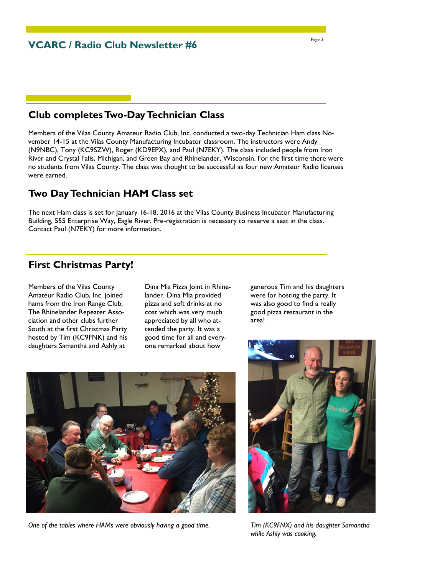### **Club completes Two-Day Technician Class**

Members of the Vilas County Amateur Radio Club, Inc. conducted a two-day Technician Ham class November 14-15 at the Vilas County Manufacturing Incubator classroom. The instructors were Andy (N9NBC), Tony (KC9SZW), Roger (KD9EPX), and Paul (N7EKY). The class included people from Iron River and Crystal Falls, Michigan, and Green Bay and Rhinelander, Wisconsin. For the first time there were no students from Vilas County. The class was thought to be successful as four new Amateur Radio licenses were earned.

#### **Two Day Technician HAM Class set**

The next Ham class is set for January 16-18, 2016 at the Vilas County Business Incubator Manufacturing Building, 555 Enterprise Way, Eagle River. Pre-registration is necessary to reserve a seat in the class. Contact Paul (N7EKY) for more information.

# **First Christmas Party!**

Members of the Vilas County Amateur Radio Club, Inc. joined hams from the Iron Range Club, The Rhinelander Repeater Association and other clubs further South at the first Christmas Party hosted by Tim (KC9FNK) and his daughters Samantha and Ashly at

Dina Mia Pizza Joint in Rhinelander. Dina Mia provided pizza and soft drinks at no cost which was very much appreciated by all who attended the party. It was a good time for all and everyone remarked about how

generous Tim and his daughters were for hosting the party. It was also good to find a really good pizza restaurant in the area!



*One of the tables where HAMs were obviously having a good time.* 



*Tim (KC9FNX) and his daughter Samantha while Ashly was cooking.*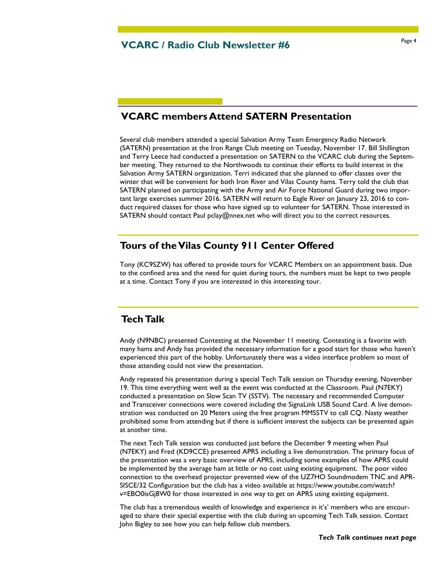# **VCARC members Attend SATERN Presentation**

Several club members attended a special Salvation Army Team Emergency Radio Network (SATERN) presentation at the Iron Range Club meeting on Tuesday, November 17. Bill Shillington and Terry Leece had conducted a presentation on SATERN to the VCARC club during the September meeting. They returned to the Northwoods to continue their efforts to build interest in the Salvation Army SATERN organization. Terri indicated that she planned to offer classes over the winter that will be convenient for both Iron River and Vilas County hams. Terry told the club that SATERN planned on participating with the Army and Air Force National Guard during two important large exercises summer 2016. SATERN will return to Eagle River on January 23, 2016 to conduct required classes for those who have signed up to volunteer for SATERN. Those interested in SATERN should contact Paul pclay@nnex.net who will direct you to the correct resources.

#### **Tours of the Vilas County 911 Center Offered**

Tony (KC9SZW) has offered to provide tours for VCARC Members on an appointment basis. Due to the confined area and the need for quiet during tours, the numbers must be kept to two people at a time. Contact Tony if you are interested in this interesting tour.

### **Tech Talk**

Andy (N9NBC) presented Contesting at the November 11 meeting. Contesting is a favorite with many hams and Andy has provided the necessary information for a good start for those who haven't experienced this part of the hobby. Unfortunately there was a video interface problem so most of those attending could not view the presentation.

Andy repeated his presentation during a special Tech Talk session on Thursday evening, November 19. This time everything went well as the event was conducted at the Classroom. Paul (N7EKY) conducted a presentation on Slow Scan TV (SSTV). The necessary and recommended Computer and Transceiver connections were covered including the SignaLink USB Sound Card. A live demonstration was conducted on 20 Meters using the free program MMSSTV to call CQ. Nasty weather prohibited some from attending but if there is sufficient interest the subjects can be presented again at another time.

The next Tech Talk session was conducted just before the December 9 meeting when Paul (N7EKY) and Fred (KD9CCE) presented APRS including a live demonstration. The primary focus of the presentation was a very basic overview of APRS, including some examples of how APRS could be implemented by the average ham at little or no cost using existing equipment. The poor video connection to the overhead projector prevented view of the UZ7HO Soundmodem TNC and APR-SISCE/32 Configuration but the club has a video available at https://www.youtube.com/watch? v=EBO0isGj8W0 for those interested in one way to get on APRS using existing equipment.

The club has a tremendous wealth of knowledge and experience in it's' members who are encouraged to share their special expertise with the club during an upcoming Tech Talk session. Contact John Bigley to see how you can help fellow club members.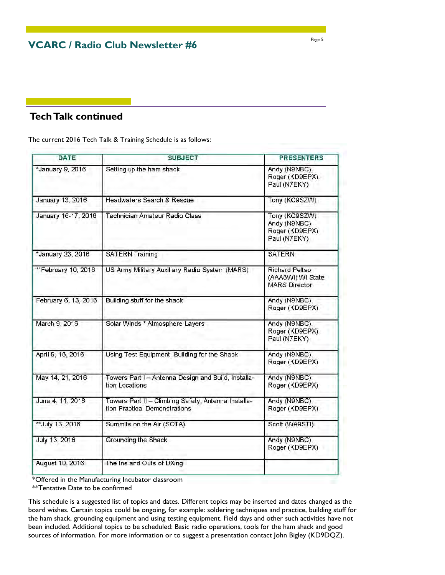**VCARC / Radio Club Newsletter #6** 

# **Tech Talk continued**

The current 2016 Tech Talk & Training Schedule is as follows:

| <b>SUBJECT</b>                                                                       | <b>PRESENTERS</b>                                                  |
|--------------------------------------------------------------------------------------|--------------------------------------------------------------------|
| Setting up the ham shack                                                             | Andy (N9NBC),<br>Roger (KD9EPX),<br>Paul (N7EKY)                   |
| Headwaters Search & Rescue                                                           | Tony (KC9SZW)                                                      |
| Technician Amateur Radio Class                                                       | Tony (KC9SZW)<br>Andy (N9NBC)<br>Roger (KD9EPX)<br>Paul (N7EKY)    |
| <b>SATERN Training</b>                                                               | <b>SATERN</b>                                                      |
| US Army Military Auxiliary Radio System (MARS)                                       | <b>Richard Peltso</b><br>(AAA5WI) WI State<br><b>MARS Director</b> |
| Building stuff for the shack                                                         | Andy (N9NBC),<br>Roger (KD9EPX)                                    |
| Solar Winds * Atmosphere Layers                                                      | Andy (N9NBC),<br>Roger (KD9EPX),<br>Paul (N7EKY)                   |
| Using Test Equipment, Building for the Shack                                         | Andy (N9NBC),<br>Roger (KD9EPX)                                    |
| Towers Part I - Antenna Design and Build, Installa-<br>tion Locations                | Andy (N9NBC),<br>Roger (KD9EPX)                                    |
| Towers Part II - Climbing Safety, Antenna Installa-<br>tion Practical Demonstrations | Andy (N9NBC),<br>Roger (KD9EPX)                                    |
| Summits on the Air (SOTA)                                                            | Scott (WA9STI)                                                     |
| Grounding the Shack                                                                  | Andy (N9NBC),<br>Roger (KD9EPX)                                    |
| The Ins and Outs of DXing                                                            |                                                                    |
|                                                                                      |                                                                    |

\*Offered in the Manufacturing Incubator classroom

\*\*Tentative Date to be confirmed

This schedule is a suggested list of topics and dates. Different topics may be inserted and dates changed as the board wishes. Certain topics could be ongoing, for example: soldering techniques and practice, building stuff for the ham shack, grounding equipment and using testing equipment. Field days and other such activities have not been included. Additional topics to be scheduled: Basic radio operations, tools for the ham shack and good sources of information. For more information or to suggest a presentation contact John Bigley (KD9DQZ).